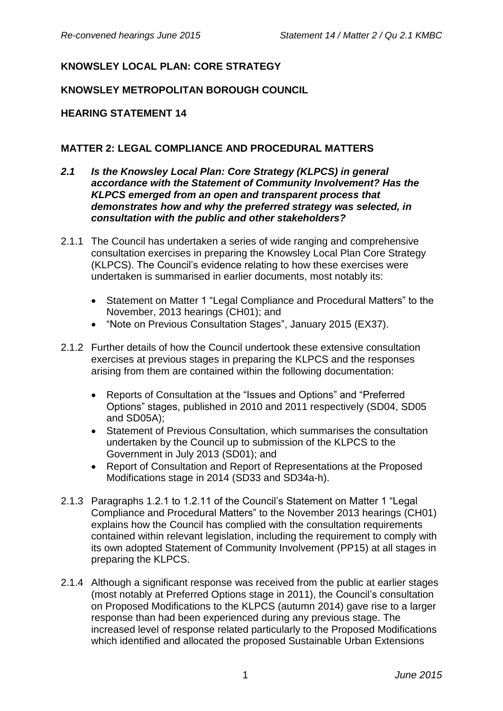## **KNOWSLEY LOCAL PLAN: CORE STRATEGY**

## **KNOWSLEY METROPOLITAN BOROUGH COUNCIL**

## **HEARING STATEMENT 14**

## **MATTER 2: LEGAL COMPLIANCE AND PROCEDURAL MATTERS**

- *2.1 Is the Knowsley Local Plan: Core Strategy (KLPCS) in general accordance with the Statement of Community Involvement? Has the KLPCS emerged from an open and transparent process that demonstrates how and why the preferred strategy was selected, in consultation with the public and other stakeholders?*
- 2.1.1 The Council has undertaken a series of wide ranging and comprehensive consultation exercises in preparing the Knowsley Local Plan Core Strategy (KLPCS). The Council's evidence relating to how these exercises were undertaken is summarised in earlier documents, most notably its:
	- Statement on Matter 1 "Legal Compliance and Procedural Matters" to the November, 2013 hearings (CH01); and
	- "Note on Previous Consultation Stages", January 2015 (EX37).
- 2.1.2 Further details of how the Council undertook these extensive consultation exercises at previous stages in preparing the KLPCS and the responses arising from them are contained within the following documentation:
	- Reports of Consultation at the "Issues and Options" and "Preferred Options" stages, published in 2010 and 2011 respectively (SD04, SD05 and SD05A);
	- Statement of Previous Consultation, which summarises the consultation undertaken by the Council up to submission of the KLPCS to the Government in July 2013 (SD01); and
	- Report of Consultation and Report of Representations at the Proposed Modifications stage in 2014 (SD33 and SD34a-h).
- 2.1.3 Paragraphs 1.2.1 to 1.2.11 of the Council's Statement on Matter 1 "Legal Compliance and Procedural Matters" to the November 2013 hearings (CH01) explains how the Council has complied with the consultation requirements contained within relevant legislation, including the requirement to comply with its own adopted Statement of Community Involvement (PP15) at all stages in preparing the KLPCS.
- 2.1.4 Although a significant response was received from the public at earlier stages (most notably at Preferred Options stage in 2011), the Council's consultation on Proposed Modifications to the KLPCS (autumn 2014) gave rise to a larger response than had been experienced during any previous stage. The increased level of response related particularly to the Proposed Modifications which identified and allocated the proposed Sustainable Urban Extensions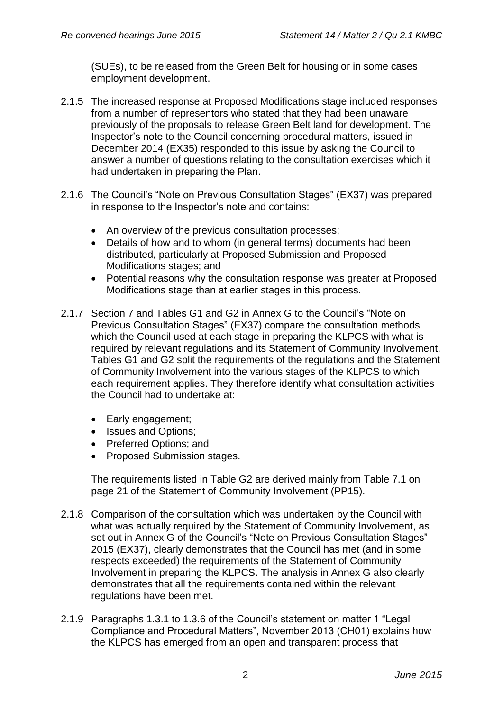(SUEs), to be released from the Green Belt for housing or in some cases employment development.

- 2.1.5 The increased response at Proposed Modifications stage included responses from a number of representors who stated that they had been unaware previously of the proposals to release Green Belt land for development. The Inspector's note to the Council concerning procedural matters, issued in December 2014 (EX35) responded to this issue by asking the Council to answer a number of questions relating to the consultation exercises which it had undertaken in preparing the Plan.
- 2.1.6 The Council's "Note on Previous Consultation Stages" (EX37) was prepared in response to the Inspector's note and contains:
	- An overview of the previous consultation processes;
	- Details of how and to whom (in general terms) documents had been distributed, particularly at Proposed Submission and Proposed Modifications stages; and
	- Potential reasons why the consultation response was greater at Proposed Modifications stage than at earlier stages in this process.
- 2.1.7 Section 7 and Tables G1 and G2 in Annex G to the Council's "Note on Previous Consultation Stages" (EX37) compare the consultation methods which the Council used at each stage in preparing the KLPCS with what is required by relevant regulations and its Statement of Community Involvement. Tables G1 and G2 split the requirements of the regulations and the Statement of Community Involvement into the various stages of the KLPCS to which each requirement applies. They therefore identify what consultation activities the Council had to undertake at:
	- Early engagement;
	- Issues and Options:
	- Preferred Options: and
	- Proposed Submission stages.

The requirements listed in Table G2 are derived mainly from Table 7.1 on page 21 of the Statement of Community Involvement (PP15).

- 2.1.8 Comparison of the consultation which was undertaken by the Council with what was actually required by the Statement of Community Involvement, as set out in Annex G of the Council's "Note on Previous Consultation Stages" 2015 (EX37), clearly demonstrates that the Council has met (and in some respects exceeded) the requirements of the Statement of Community Involvement in preparing the KLPCS. The analysis in Annex G also clearly demonstrates that all the requirements contained within the relevant regulations have been met.
- 2.1.9 Paragraphs 1.3.1 to 1.3.6 of the Council's statement on matter 1 "Legal Compliance and Procedural Matters", November 2013 (CH01) explains how the KLPCS has emerged from an open and transparent process that